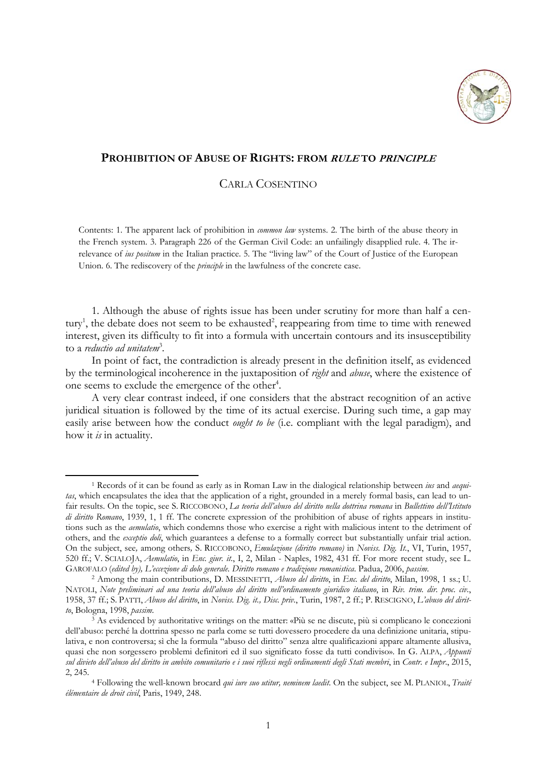

## **PROHIBITION OF ABUSE OF RIGHTS: FROM RULE TO PRINCIPLE**

## CARLA COSENTINO

Contents: 1. The apparent lack of prohibition in *common law* systems. 2. The birth of the abuse theory in the French system. 3. Paragraph 226 of the German Civil Code: an unfailingly disapplied rule. 4. The irrelevance of *ius positum* in the Italian practice. 5. The "living law" of the Court of Justice of the European Union. 6. The rediscovery of the *principle* in the lawfulness of the concrete case.

1. Although the abuse of rights issue has been under scrutiny for more than half a century<sup>1</sup>, the debate does not seem to be exhausted<sup>2</sup>, reappearing from time to time with renewed interest, given its difficulty to fit into a formula with uncertain contours and its insusceptibility to a *reductio ad unitatem*<sup>3</sup> *.* 

In point of fact, the contradiction is already present in the definition itself, as evidenced by the terminological incoherence in the juxtaposition of *right* and *abuse*, where the existence of one seems to exclude the emergence of the other<sup>4</sup>.

A very clear contrast indeed, if one considers that the abstract recognition of an active juridical situation is followed by the time of its actual exercise. During such time, a gap may easily arise between how the conduct *ought to be* (i.e. compliant with the legal paradigm), and how it *is* in actuality.

<sup>1</sup> Records of it can be found as early as in Roman Law in the dialogical relationship between *ius* and *aequitas*, which encapsulates the idea that the application of a right, grounded in a merely formal basis, can lead to unfair results. On the topic, see S. RICCOBONO, *La teoria dell'abuso del diritto nella dottrina romana* in *Bullettino dell'Istituto di diritto Romano*, 1939, 1, 1 ff. The concrete expression of the prohibition of abuse of rights appears in institutions such as the *aemulatio*, which condemns those who exercise a right with malicious intent to the detriment of others, and the *exceptio doli*, which guarantees a defense to a formally correct but substantially unfair trial action. On the subject, see*,* among others*,* S. RICCOBONO, *Emulazione (diritto romano)* in *Noviss*. *Dig. It.*, VI, Turin, 1957, 520 ff.; V. SCIALOJA, *Aemulatio*, in *Enc. giur. it*., I, 2, Milan - Naples, 1982, 431 ff. For more recent study, see L.

<sup>&</sup>lt;sup>2</sup> Among the main contributions, D. MESSINETTI, Abuso del diritto, in Enc. del diritto, Milan, 1998, 1 ss.; U. NATOLI, *Note preliminari ad una teoria dell'abuso del diritto nell'ordinamento giuridico italiano*, in *Riv. trim. dir. proc. civ.*, 1958, 37 ff.; S. PATTI, *Abuso del diritto*, in *Noviss. Dig. it., Disc. priv*., Turin, 1987, 2 ff.; P. RESCIGNO, *L'abuso del diritto*, Bologna, 1998, *passim*. 3 As evidenced by authoritative writings on the matter: «Più se ne discute, più si complicano le concezioni

dell'abuso: perché la dottrina spesso ne parla come se tutti dovessero procedere da una definizione unitaria, stipulativa, e non controversa; sì che la formula "abuso del diritto" senza altre qualificazioni appare altamente allusiva, quasi che non sorgessero problemi definitori ed il suo significato fosse da tutti condiviso». In G. ALPA, *Appunti sul divieto dell'abuso del diritto in ambito comunitario e i suoi riflessi negli ordinamenti degli Stati membri*, in *Contr. e Impr*., 2015, 2, 245. 4 Following the well-known brocard *qui iure suo utitur, neminem laedit*. On the subject, see M. PLANIOL, *Traité* 

*élémentaire de droit civil*, Paris, 1949, 248.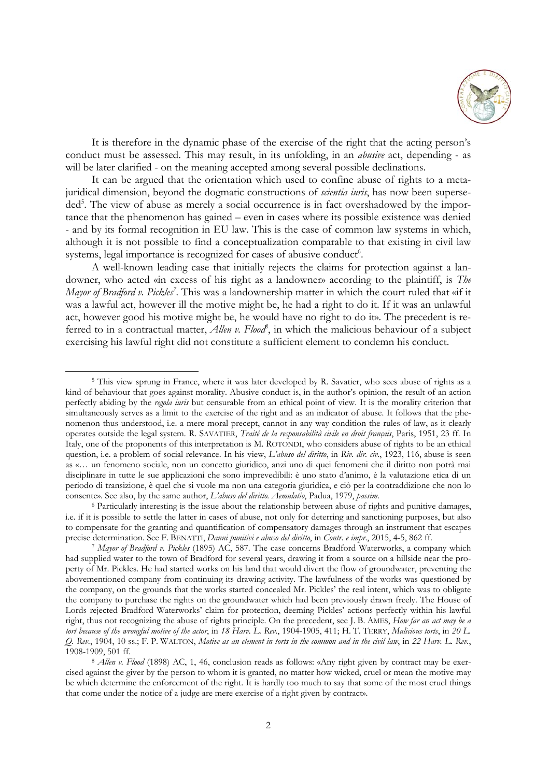

It is therefore in the dynamic phase of the exercise of the right that the acting person's conduct must be assessed. This may result, in its unfolding, in an *abusive* act, depending - as will be later clarified - on the meaning accepted among several possible declinations.

It can be argued that the orientation which used to confine abuse of rights to a metajuridical dimension, beyond the dogmatic constructions of *scientia iuris*, has now been superseded<sup>5</sup>. The view of abuse as merely a social occurrence is in fact overshadowed by the importance that the phenomenon has gained – even in cases where its possible existence was denied - and by its formal recognition in EU law. This is the case of common law systems in which, although it is not possible to find a conceptualization comparable to that existing in civil law systems, legal importance is recognized for cases of abusive conduct<sup>6</sup>.

A well-known leading case that initially rejects the claims for protection against a landowner, who acted «in excess of his right as a landowner» according to the plaintiff, is *The Mayor of Bradford v. Pickles<sup>7</sup>*. This was a landownership matter in which the court ruled that «if it was a lawful act, however ill the motive might be, he had a right to do it. If it was an unlawful act, however good his motive might be, he would have no right to do it». The precedent is referred to in a contractual matter, *Allen v. Flood*<sup>8</sup>, in which the malicious behaviour of a subject exercising his lawful right did not constitute a sufficient element to condemn his conduct.

 $\overline{a}$ 

<sup>5</sup> This view sprung in France, where it was later developed by R. Savatier, who sees abuse of rights as a kind of behaviour that goes against morality. Abusive conduct is, in the author's opinion, the result of an action perfectly abiding by the *regola iuris* but censurable from an ethical point of view. It is the morality criterion that simultaneously serves as a limit to the exercise of the right and as an indicator of abuse. It follows that the phenomenon thus understood, i.e. a mere moral precept, cannot in any way condition the rules of law, as it clearly operates outside the legal system. R. SAVATIER, *Traité de la responsabilità civile en droit français*, Paris, 1951, 23 ff. In Italy, one of the proponents of this interpretation is M. ROTONDI, who considers abuse of rights to be an ethical question, i.e. a problem of social relevance. In his view, *L'abuso del diritto*, in *Riv. dir. civ*., 1923, 116, abuse is seen as «… un fenomeno sociale, non un concetto giuridico, anzi uno di quei fenomeni che il diritto non potrà mai disciplinare in tutte le sue applicazioni che sono imprevedibili: è uno stato d'animo, è la valutazione etica di un periodo di transizione, è quel che si vuole ma non una categoria giuridica, e ciò per la contraddizione che non lo consente». See also, by the same author, *L'abuso del diritto. Aemulatio*, Padua, 1979, *passim*.

<sup>&</sup>lt;sup>6</sup> Particularly interesting is the issue about the relationship between abuse of rights and punitive damages, i.e. if it is possible to settle the latter in cases of abuse, not only for deterring and sanctioning purposes, but also to compensate for the granting and quantification of compensatory damages through an instrument that escapes precise determination. See F. BENATTI, *Danni punitivi e abuso del diritto*, in *Contr. e impr.*, 2015, 4-5, 862

<sup>&</sup>lt;sup>7</sup> Mayor of Bradford v. Pickles (1895) AC, 587. The case concerns Bradford Waterworks, a company which had supplied water to the town of Bradford for several years, drawing it from a source on a hillside near the property of Mr. Pickles. He had started works on his land that would divert the flow of groundwater, preventing the abovementioned company from continuing its drawing activity. The lawfulness of the works was questioned by the company, on the grounds that the works started concealed Mr. Pickles' the real intent, which was to obligate the company to purchase the rights on the groundwater which had been previously drawn freely. The House of Lords rejected Bradford Waterworks' claim for protection, deeming Pickles' actions perfectly within his lawful right, thus not recognizing the abuse of rights principle. On the precedent, see J. B. AMES, *How far an act may be a tort because of the wrongful motive of the actor*, in *18 Harv. L. Rev.*, 1904-1905, 411; H. T. TERRY, *Malicious torts*, in *20 L. Q. Rev.*, 1904, 10 ss.; F. P. WALTON, *Motive as an element in torts in the common and in the civil law*, in *22 Harv. L. Rev.*,

<sup>&</sup>lt;sup>8</sup> *Allen v. Flood* (1898) AC, 1, 46, conclusion reads as follows: «Any right given by contract may be exercised against the giver by the person to whom it is granted, no matter how wicked, cruel or mean the motive may be which determine the enforcement of the right. It is hardly too much to say that some of the most cruel things that come under the notice of a judge are mere exercise of a right given by contract».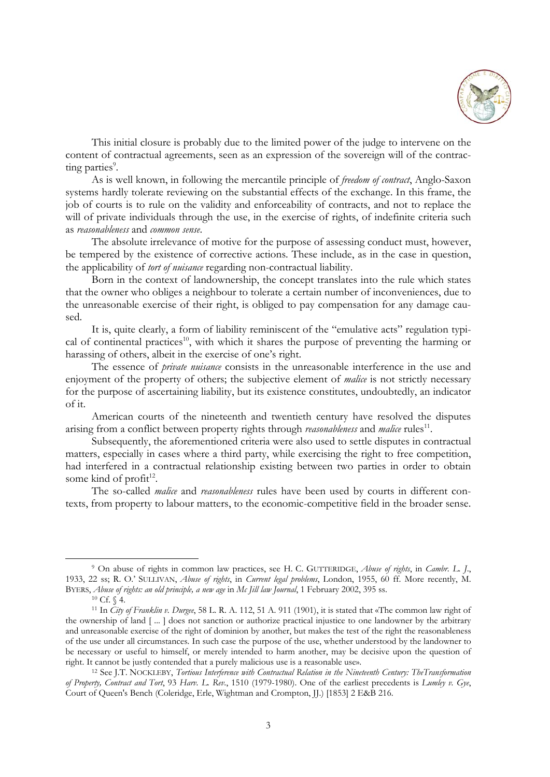

This initial closure is probably due to the limited power of the judge to intervene on the content of contractual agreements, seen as an expression of the sovereign will of the contracting parties<sup>9</sup>.

As is well known, in following the mercantile principle of *freedom of contract*, Anglo-Saxon systems hardly tolerate reviewing on the substantial effects of the exchange. In this frame, the job of courts is to rule on the validity and enforceability of contracts, and not to replace the will of private individuals through the use, in the exercise of rights, of indefinite criteria such as *reasonableness* and *common sense*.

The absolute irrelevance of motive for the purpose of assessing conduct must, however, be tempered by the existence of corrective actions. These include, as in the case in question, the applicability of *tort of nuisance* regarding non-contractual liability.

Born in the context of landownership, the concept translates into the rule which states that the owner who obliges a neighbour to tolerate a certain number of inconveniences, due to the unreasonable exercise of their right, is obliged to pay compensation for any damage caused.

It is, quite clearly, a form of liability reminiscent of the "emulative acts" regulation typical of continental practices<sup>10</sup>, with which it shares the purpose of preventing the harming or harassing of others, albeit in the exercise of one's right.

The essence of *private nuisance* consists in the unreasonable interference in the use and enjoyment of the property of others; the subjective element of *malice* is not strictly necessary for the purpose of ascertaining liability, but its existence constitutes, undoubtedly, an indicator of it.

American courts of the nineteenth and twentieth century have resolved the disputes arising from a conflict between property rights through *reasonableness* and *malice* rules<sup>11</sup>.

Subsequently, the aforementioned criteria were also used to settle disputes in contractual matters, especially in cases where a third party, while exercising the right to free competition, had interfered in a contractual relationship existing between two parties in order to obtain some kind of profit<sup>12</sup>.

The so-called *malice* and *reasonableness* rules have been used by courts in different contexts, from property to labour matters, to the economic-competitive field in the broader sense.

<sup>9</sup> On abuse of rights in common law practices, see H. C. GUTTERIDGE, *Abuse of rights*, in *Cambr. L. J*., 1933, 22 ss; R. O.' SULLIVAN, *Abuse of rights*, in *Current legal problems*, London, 1955, 60 ff. More recently, M. BYERS, *Abuse of rights: an old principle, a new age* in *Mc Jill law Journal*, 1 February 2002, 395 ss. <sup>10</sup> Cf. § 4.

<sup>11</sup> In *City of Franklin v. Durgee*, 58 L. R. A. 112, 51 A. 911 (1901), it is stated that «The common law right of the ownership of land [ ... ] does not sanction or authorize practical injustice to one landowner by the arbitrary and unreasonable exercise of the right of dominion by another, but makes the test of the right the reasonableness of the use under all circumstances. In such case the purpose of the use, whether understood by the landowner to be necessary or useful to himself, or merely intended to harm another, may be decisive upon the question of right. It cannot be justly contended that a purely malicious use is a reasonable use». 12 See J.T. NOCKLEBY, *Tortious Interference with Contractual Relation in the Nineteenth Century: TheTransformation* 

*of Property, Contract and Tort*, 93 *Harv. L. Rev*., 1510 (1979-1980). One of the earliest precedents is *Lumley v. Gye*, Court of Queen's Bench (Coleridge, Erle, Wightman and Crompton, JJ.) [1853] 2 E&B 216.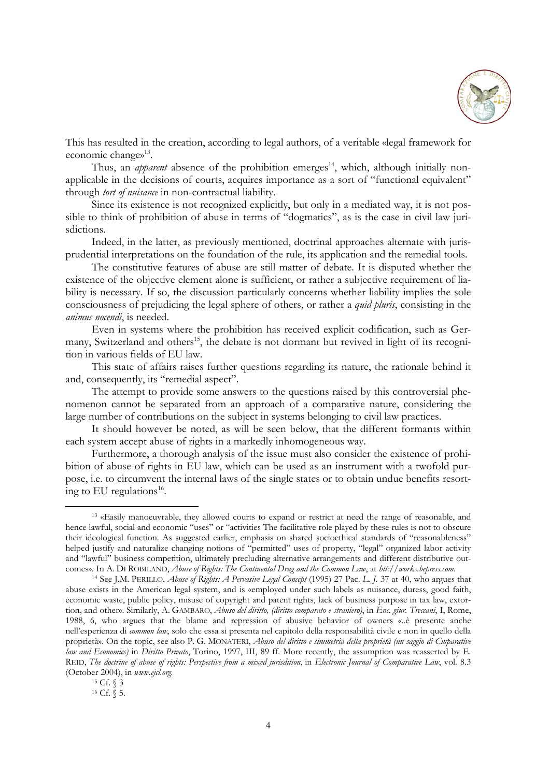

This has resulted in the creation, according to legal authors, of a veritable «legal framework for economic changes<sup>13</sup>.

Thus, an *apparent* absence of the prohibition emerges<sup>14</sup>, which, although initially nonapplicable in the decisions of courts, acquires importance as a sort of "functional equivalent" through *tort of nuisance* in non-contractual liability.

Since its existence is not recognized explicitly, but only in a mediated way, it is not possible to think of prohibition of abuse in terms of "dogmatics", as is the case in civil law jurisdictions.

Indeed, in the latter, as previously mentioned, doctrinal approaches alternate with jurisprudential interpretations on the foundation of the rule, its application and the remedial tools.

The constitutive features of abuse are still matter of debate. It is disputed whether the existence of the objective element alone is sufficient, or rather a subjective requirement of liability is necessary. If so, the discussion particularly concerns whether liability implies the sole consciousness of prejudicing the legal sphere of others, or rather a *quid pluris*, consisting in the *animus nocendi*, is needed.

Even in systems where the prohibition has received explicit codification, such as Germany, Switzerland and others<sup>15</sup>, the debate is not dormant but revived in light of its recognition in various fields of EU law.

This state of affairs raises further questions regarding its nature, the rationale behind it and, consequently, its "remedial aspect".

The attempt to provide some answers to the questions raised by this controversial phenomenon cannot be separated from an approach of a comparative nature, considering the large number of contributions on the subject in systems belonging to civil law practices.

It should however be noted, as will be seen below, that the different formants within each system accept abuse of rights in a markedly inhomogeneous way.

Furthermore, a thorough analysis of the issue must also consider the existence of prohibition of abuse of rights in EU law, which can be used as an instrument with a twofold purpose, i.e. to circumvent the internal laws of the single states or to obtain undue benefits resorting to EU regulations<sup>16</sup>.

<sup>13 «</sup>Easily manoeuvrable, they allowed courts to expand or restrict at need the range of reasonable, and hence lawful, social and economic "uses" or "activities The facilitative role played by these rules is not to obscure their ideological function. As suggested earlier, emphasis on shared socioethical standards of "reasonableness" helped justify and naturalize changing notions of "permitted" uses of property, "legal" organized labor activity and "lawful" business competition, ultimately precluding alternative arrangements and different distributive outcomes». In A. DI ROBILAND, *Abuse of Rights: The Continental Drug and the Common Law*, at *htt://works.bepress.com.*<br><sup>14</sup> See J.M. PERILLO, *Abuse of Rights: A Pervasive Legal Concept* (1995) 27 Pac. *L. J.* 37 at 40, who

abuse exists in the American legal system, and is «employed under such labels as nuisance, duress, good faith, economic waste, public policy, misuse of copyright and patent rights, lack of business purpose in tax law, extortion, and other». Similarly, A. GAMBARO, *Abuso del diritto, (diritto comparato e straniero)*, in *Enc. giur. Treccani*, I, Rome, 1988, 6, who argues that the blame and repression of abusive behavior of owners «..è presente anche nell'esperienza di *common law*, solo che essa si presenta nel capitolo della responsabilità civile e non in quello della proprietà». On the topic, see also P. G. MONATERI, *Abuso del diritto e simmetria della proprietà (un saggio di Cmparative law and Economics)* in *Diritto Privato*, Torino, 1997, III, 89 ff. More recently, the assumption was reasserted by E. REID, *The doctrine of abuse of rights: Perspective from a mixed jurisdition*, in *Electronic Journal of Comparative Law*, vol. 8.3 (October 2004), in *www.ejcl.org.*

 $15 \text{ Cf. } \sqrt{3}$ 

 $16$  Cf.  $\check{S}$  5.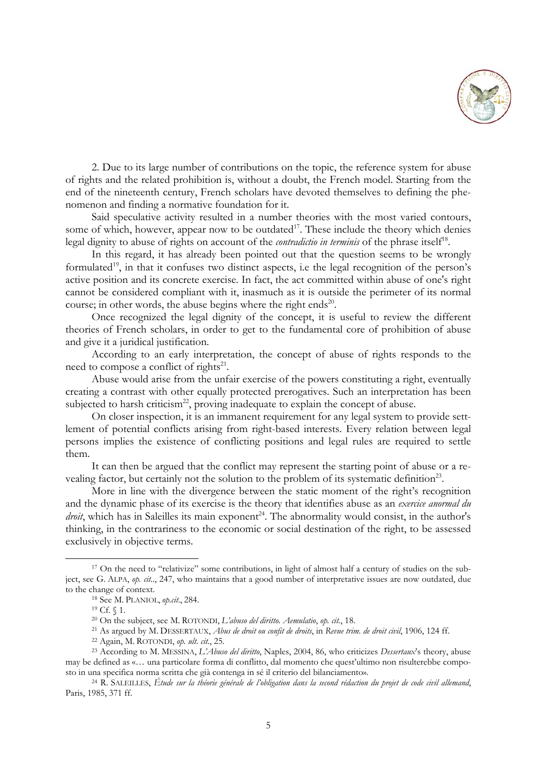

2. Due to its large number of contributions on the topic, the reference system for abuse of rights and the related prohibition is, without a doubt, the French model. Starting from the end of the nineteenth century, French scholars have devoted themselves to defining the phenomenon and finding a normative foundation for it.

Said speculative activity resulted in a number theories with the most varied contours, some of which, however, appear now to be outdated<sup>17</sup>. These include the theory which denies legal dignity to abuse of rights on account of the *contradictio in terminis* of the phrase itself<sup>18</sup>.

In this regard, it has already been pointed out that the question seems to be wrongly formulated<sup>19</sup>, in that it confuses two distinct aspects, i.e the legal recognition of the person's active position and its concrete exercise. In fact, the act committed within abuse of one's right cannot be considered compliant with it, inasmuch as it is outside the perimeter of its normal course; in other words, the abuse begins where the right ends<sup>20</sup>.

Once recognized the legal dignity of the concept, it is useful to review the different theories of French scholars, in order to get to the fundamental core of prohibition of abuse and give it a juridical justification.

According to an early interpretation, the concept of abuse of rights responds to the need to compose a conflict of rights<sup>21</sup>.

Abuse would arise from the unfair exercise of the powers constituting a right, eventually creating a contrast with other equally protected prerogatives. Such an interpretation has been subjected to harsh criticism<sup>22</sup>, proving inadequate to explain the concept of abuse.

On closer inspection, it is an immanent requirement for any legal system to provide settlement of potential conflicts arising from right-based interests. Every relation between legal persons implies the existence of conflicting positions and legal rules are required to settle them.

It can then be argued that the conflict may represent the starting point of abuse or a revealing factor, but certainly not the solution to the problem of its systematic definition<sup>23</sup>.

More in line with the divergence between the static moment of the right's recognition and the dynamic phase of its exercise is the theory that identifies abuse as an *exercice anormal du droit*, which has in Saleilles its main exponent<sup>24</sup>. The abnormality would consist, in the author's thinking, in the contrariness to the economic or social destination of the right, to be assessed exclusively in objective terms.

<sup>&</sup>lt;sup>17</sup> On the need to "relativize" some contributions, in light of almost half a century of studies on the subject, see G. ALPA, *op. cit.*., 247, who maintains that a good number of interpretative issues are now outdated, due

<sup>&</sup>lt;sup>18</sup> See M. PLANIOL, *op.cit.*, 284.<br><sup>19</sup> Cf. § 1.<br><sup>20</sup> On the subject, see M. ROTONDI, *L'abuso del diritto. Aemulatio*, *op. cit.*, 18.

<sup>&</sup>lt;sup>21</sup> As argued by M. DESSERTAUX, *Abus de droit ou confit de droits*, in Revue trim. de droit civil, 1906, 124 ff.<br><sup>22</sup> Again, M. ROTONDI, *op. ult. cit.*, 25.<br><sup>23</sup> According to M. MESSINA, *L'Abuso del diritto*, Naples,

may be defined as «… una particolare forma di conflitto, dal momento che quest'ultimo non risulterebbe composto in una specifica norma scritta che già contenga in sé il criterio del bilanciamento». 24 R. SALEILLES, *Étude sur la théorie générale de l'obligation dans la second rédaction du projet de code civil allemand*,

Paris, 1985, 371 ff.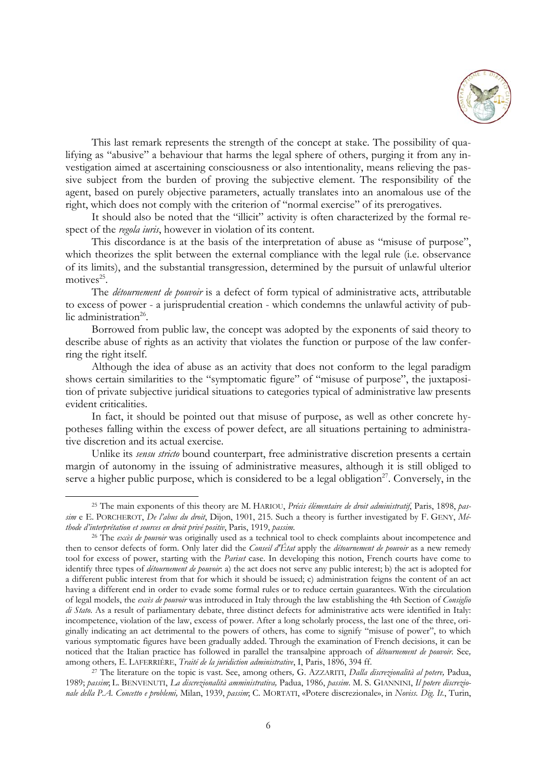

This last remark represents the strength of the concept at stake. The possibility of qualifying as "abusive" a behaviour that harms the legal sphere of others, purging it from any investigation aimed at ascertaining consciousness or also intentionality, means relieving the passive subject from the burden of proving the subjective element. The responsibility of the agent, based on purely objective parameters, actually translates into an anomalous use of the right, which does not comply with the criterion of "normal exercise" of its prerogatives.

It should also be noted that the "illicit" activity is often characterized by the formal respect of the *regola iuris*, however in violation of its content.

This discordance is at the basis of the interpretation of abuse as "misuse of purpose", which theorizes the split between the external compliance with the legal rule (i.e. observance of its limits), and the substantial transgression, determined by the pursuit of unlawful ulterior motives $^{25}$ .

The *détournement de pouvoir* is a defect of form typical of administrative acts, attributable to excess of power - a jurisprudential creation - which condemns the unlawful activity of public administration<sup>26</sup>.

Borrowed from public law, the concept was adopted by the exponents of said theory to describe abuse of rights as an activity that violates the function or purpose of the law conferring the right itself.

Although the idea of abuse as an activity that does not conform to the legal paradigm shows certain similarities to the "symptomatic figure" of "misuse of purpose", the juxtaposition of private subjective juridical situations to categories typical of administrative law presents evident criticalities.

In fact, it should be pointed out that misuse of purpose, as well as other concrete hypotheses falling within the excess of power defect, are all situations pertaining to administrative discretion and its actual exercise.

Unlike its *sensu stricto* bound counterpart, free administrative discretion presents a certain margin of autonomy in the issuing of administrative measures, although it is still obliged to serve a higher public purpose, which is considered to be a legal obligation<sup>27</sup>. Conversely, in the

<sup>25</sup> The main exponents of this theory are M. HARIOU, *Précis élémentaire de droit administratif*, Paris, 1898, *passim* e E. PORCHEROT, *De l'abus du droit*, Dijon, 1901, 215. Such a theory is further investigated by F. GENY, *Méthode d'interprétation et sources en droit privé positiv*, Paris, 1919, *passim*. 26 The *excès de pouvoir* was originally used as a technical tool to check complaints about incompetence and

then to censor defects of form. Only later did the *Conseil d'État* apply the *détournement de pouvoir* as a new remedy tool for excess of power, starting with the *Pariset* case. In developing this notion, French courts have come to identify three types of *détournement de pouvoir*: a) the act does not serve any public interest; b) the act is adopted for a different public interest from that for which it should be issued; c) administration feigns the content of an act having a different end in order to evade some formal rules or to reduce certain guarantees. With the circulation of legal models, the *excès de pouvoir* was introduced in Italy through the law establishing the 4th Section of *Consiglio di Stato*. As a result of parliamentary debate, three distinct defects for administrative acts were identified in Italy: incompetence, violation of the law, excess of power. After a long scholarly process, the last one of the three, originally indicating an act detrimental to the powers of others, has come to signify "misuse of power", to which various symptomatic figures have been gradually added. Through the examination of French decisions, it can be noticed that the Italian practice has followed in parallel the transalpine approach of *détournement de pouvoir*. See, among others, E. LAFERRIÈRE, *Traité de la juridiction administrative*, I, Paris, 1896, 394 ff.

<sup>&</sup>lt;sup>27</sup> The literature on the topic is vast. See, among others, G. AZZARITI, *Dalla discrezionalità al potere*, Padua, 1989; *passim*; L. BENVENUTI, *La discrezionalità amministrativa,* Padua, 1986, *passim*. M. S. GIANNINI, *Il potere discrezionale della P.A. Concetto e problemi,* Milan, 1939, *passim*; C. MORTATI, «Potere discrezionale», in *Noviss. Dig. It.*, Turin,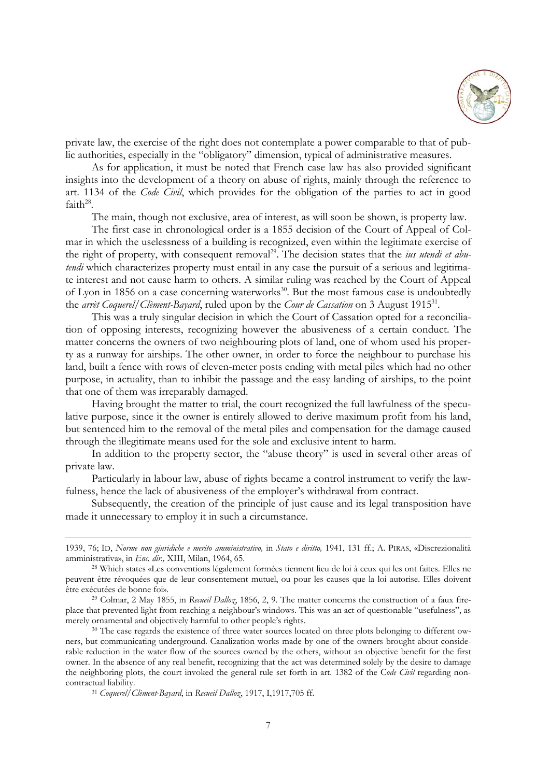

private law, the exercise of the right does not contemplate a power comparable to that of public authorities, especially in the "obligatory" dimension, typical of administrative measures.

As for application, it must be noted that French case law has also provided significant insights into the development of a theory on abuse of rights, mainly through the reference to art. 1134 of the *Code Civil*, which provides for the obligation of the parties to act in good faith $^{28}$ .

The main, though not exclusive, area of interest, as will soon be shown, is property law.

The first case in chronological order is a 1855 decision of the Court of Appeal of Colmar in which the uselessness of a building is recognized, even within the legitimate exercise of the right of property, with consequent removal<sup>29</sup>. The decision states that the *ius utendi et abutendi* which characterizes property must entail in any case the pursuit of a serious and legitimate interest and not cause harm to others. A similar ruling was reached by the Court of Appeal of Lyon in 1856 on a case concerning waterworks<sup>30</sup>. But the most famous case is undoubtedly the *arrèt Coquerel/Clèment-Bayard*, ruled upon by the *Cour de Cassation* on 3 August 191531.

This was a truly singular decision in which the Court of Cassation opted for a reconciliation of opposing interests, recognizing however the abusiveness of a certain conduct. The matter concerns the owners of two neighbouring plots of land, one of whom used his property as a runway for airships. The other owner, in order to force the neighbour to purchase his land, built a fence with rows of eleven-meter posts ending with metal piles which had no other purpose, in actuality, than to inhibit the passage and the easy landing of airships, to the point that one of them was irreparably damaged.

Having brought the matter to trial, the court recognized the full lawfulness of the speculative purpose, since it the owner is entirely allowed to derive maximum profit from his land, but sentenced him to the removal of the metal piles and compensation for the damage caused through the illegitimate means used for the sole and exclusive intent to harm.

In addition to the property sector, the "abuse theory" is used in several other areas of private law.

Particularly in labour law, abuse of rights became a control instrument to verify the lawfulness, hence the lack of abusiveness of the employer's withdrawal from contract.

Subsequently, the creation of the principle of just cause and its legal transposition have made it unnecessary to employ it in such a circumstance.

<sup>1939, 76;</sup> ID, *Norme non giuridiche e merito amministrativo,* in *Stato e diritto,* 1941, 131 ff.; A. PIRAS, «Discrezionalità amministrativa», in *Enc. dir.,* XIII, Milan, 1964, 65. 28 Which states «Les conventions légalement formées tiennent lieu de loi à ceux qui les ont faites. Elles ne

peuvent être révoquées que de leur consentement mutuel, ou pour les causes que la loi autorise. Elles doivent être exécutées de bonne foi». 29 Colmar, 2 May 1855, in *Recueil Dalloz*, 1856, 2, 9. The matter concerns the construction of a faux fire-

place that prevented light from reaching a neighbour's windows. This was an act of questionable "usefulness", as merely ornamental and objectively harmful to other people's rights.<br><sup>30</sup> The case regards the existence of three water sources located on three plots belonging to different ow-

ners, but communicating underground. Canalization works made by one of the owners brought about considerable reduction in the water flow of the sources owned by the others, without an objective benefit for the first owner. In the absence of any real benefit, recognizing that the act was determined solely by the desire to damage the neighboring plots, the court invoked the general rule set forth in art. 1382 of the C*ode Civil* regarding noncontractual liability. 31 *Coquerel/Clèment-Bayard*, in *Recueil Dalloz*, 1917, I,1917,705 ff.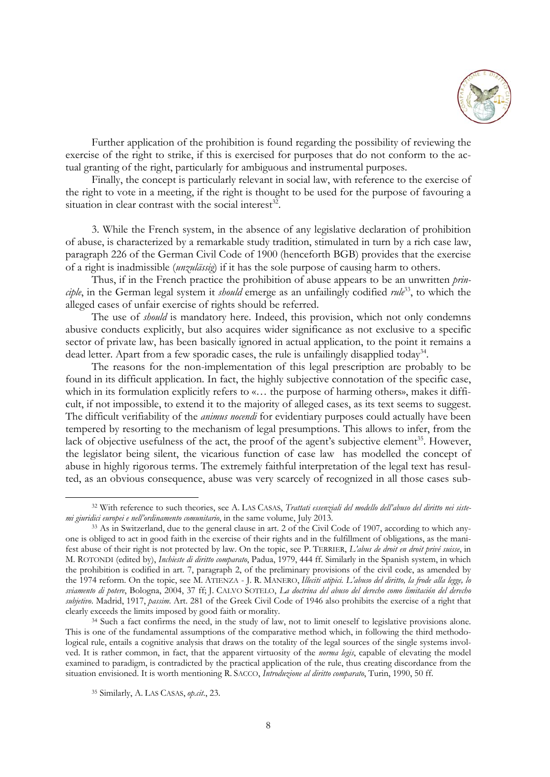

Further application of the prohibition is found regarding the possibility of reviewing the exercise of the right to strike, if this is exercised for purposes that do not conform to the actual granting of the right, particularly for ambiguous and instrumental purposes.

Finally, the concept is particularly relevant in social law, with reference to the exercise of the right to vote in a meeting, if the right is thought to be used for the purpose of favouring a situation in clear contrast with the social interest<sup>32</sup>.

3. While the French system, in the absence of any legislative declaration of prohibition of abuse, is characterized by a remarkable study tradition, stimulated in turn by a rich case law, paragraph 226 of the German Civil Code of 1900 (henceforth BGB) provides that the exercise of a right is inadmissible (*unzulässig*) if it has the sole purpose of causing harm to others.

Thus, if in the French practice the prohibition of abuse appears to be an unwritten *prin*ciple, in the German legal system it *should* emerge as an unfailingly codified *rule*<sup>33</sup>, to which the alleged cases of unfair exercise of rights should be referred.

The use of *should* is mandatory here. Indeed, this provision, which not only condemns abusive conducts explicitly, but also acquires wider significance as not exclusive to a specific sector of private law, has been basically ignored in actual application, to the point it remains a dead letter. Apart from a few sporadic cases, the rule is unfailingly disapplied today<sup>34</sup>.

The reasons for the non-implementation of this legal prescription are probably to be found in its difficult application. In fact, the highly subjective connotation of the specific case, which in its formulation explicitly refers to «... the purpose of harming others», makes it difficult, if not impossible, to extend it to the majority of alleged cases, as its text seems to suggest. The difficult verifiability of the *animus nocendi* for evidentiary purposes could actually have been tempered by resorting to the mechanism of legal presumptions. This allows to infer, from the lack of objective usefulness of the act, the proof of the agent's subjective element<sup>35</sup>. However, the legislator being silent, the vicarious function of case law has modelled the concept of abuse in highly rigorous terms. The extremely faithful interpretation of the legal text has resulted, as an obvious consequence, abuse was very scarcely of recognized in all those cases sub-

<sup>32</sup> With reference to such theories, see A. LAS CASAS, *Trattati essenziali del modello dell'abuso del diritto nei sistemi giuridici europei e nell'ordinamento comunitario*, in the same volume, July 2013.<br><sup>33</sup> As in Switzerland, due to the general clause in art. 2 of the Civil Code of 1907, according to which any-

one is obliged to act in good faith in the exercise of their rights and in the fulfillment of obligations, as the manifest abuse of their right is not protected by law. On the topic, see P. TERRIER, *L'abus de droit en droit privé suisse*, in M. ROTONDI (edited by), *Inchieste di diritto comparato*, Padua, 1979, 444 ff. Similarly in the Spanish system, in which the prohibition is codified in art. 7, paragraph 2, of the preliminary provisions of the civil code, as amended by the 1974 reform. On the topic, see M. ATIENZA - J. R. MANERO, *Illeciti atipici. L'abuso del diritto, la frode alla legge, lo sviamento di potere*, Bologna, 2004, 37 ff; J. CALVO SOTELO, *La doctrina del abuso del derecho como limitación del derecho subjetivo*. Madrid, 1917, *passim*. Art. 281 of the Greek Civil Code of 1946 also prohibits the exercise of a right that clearly exceeds the limits imposed by good faith or morality. 34 Such a fact confirms the need, in the study of law, not to limit oneself to legislative provisions alone.

This is one of the fundamental assumptions of the comparative method which, in following the third methodological rule, entails a cognitive analysis that draws on the totality of the legal sources of the single systems involved. It is rather common, in fact, that the apparent virtuosity of the *norma legis*, capable of elevating the model examined to paradigm, is contradicted by the practical application of the rule, thus creating discordance from the situation envisioned. It is worth mentioning R. SACCO, *Introduzione al diritto comparato*, Turin, 1990, 50 ff.

<sup>35</sup> Similarly, A. LAS CASAS, *op.cit*., 23.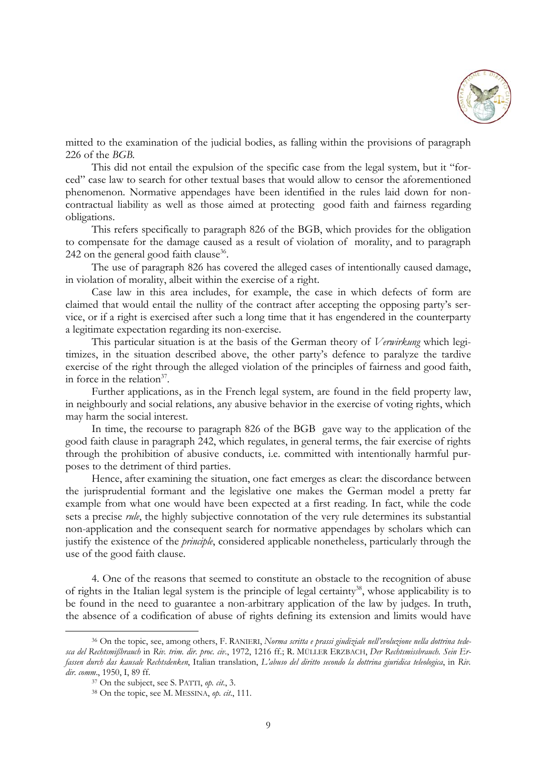

mitted to the examination of the judicial bodies, as falling within the provisions of paragraph 226 of the *BGB.*

This did not entail the expulsion of the specific case from the legal system, but it "forced" case law to search for other textual bases that would allow to censor the aforementioned phenomenon. Normative appendages have been identified in the rules laid down for noncontractual liability as well as those aimed at protecting good faith and fairness regarding obligations.

This refers specifically to paragraph 826 of the BGB, which provides for the obligation to compensate for the damage caused as a result of violation of morality, and to paragraph 242 on the general good faith clause<sup>36</sup>.

The use of paragraph 826 has covered the alleged cases of intentionally caused damage, in violation of morality, albeit within the exercise of a right.

Case law in this area includes, for example, the case in which defects of form are claimed that would entail the nullity of the contract after accepting the opposing party's service, or if a right is exercised after such a long time that it has engendered in the counterparty a legitimate expectation regarding its non-exercise.

This particular situation is at the basis of the German theory of *Verwirkung* which legitimizes, in the situation described above, the other party's defence to paralyze the tardive exercise of the right through the alleged violation of the principles of fairness and good faith, in force in the relation $37$ .

Further applications, as in the French legal system, are found in the field property law, in neighbourly and social relations, any abusive behavior in the exercise of voting rights, which may harm the social interest.

In time, the recourse to paragraph 826 of the BGB gave way to the application of the good faith clause in paragraph 242, which regulates, in general terms, the fair exercise of rights through the prohibition of abusive conducts, i.e. committed with intentionally harmful purposes to the detriment of third parties.

Hence, after examining the situation, one fact emerges as clear: the discordance between the jurisprudential formant and the legislative one makes the German model a pretty far example from what one would have been expected at a first reading. In fact, while the code sets a precise *rule*, the highly subjective connotation of the very rule determines its substantial non-application and the consequent search for normative appendages by scholars which can justify the existence of the *principle*, considered applicable nonetheless, particularly through the use of the good faith clause.

4. One of the reasons that seemed to constitute an obstacle to the recognition of abuse of rights in the Italian legal system is the principle of legal certainty<sup>38</sup>, whose applicability is to be found in the need to guarantee a non-arbitrary application of the law by judges. In truth, the absence of a codification of abuse of rights defining its extension and limits would have

<sup>36</sup> On the topic, see, among others, F. RANIERI, *Norma scritta e prassi giudiziale nell'evoluzione nella dottrina tedesca del Rechtsmißbrauch* in *Riv. trim. dir. proc. civ.*, 1972, 1216 ff.; R. MÜLLER ERZBACH, *Der Rechtsmissbrauch. Sein Erfassen durch das kausale Rechtsdenken*, Italian translation, *L'abuso del diritto secondo la dottrina giuridica teleologica*, in *Riv. dir. comm.*, 1950, I, 89 ff.<br><sup>37</sup> On the subject, see S. PATTI, *op. cit.*, 3.

<sup>&</sup>lt;sup>38</sup> On the topic, see M. MESSINA, *op. cit.*, 111.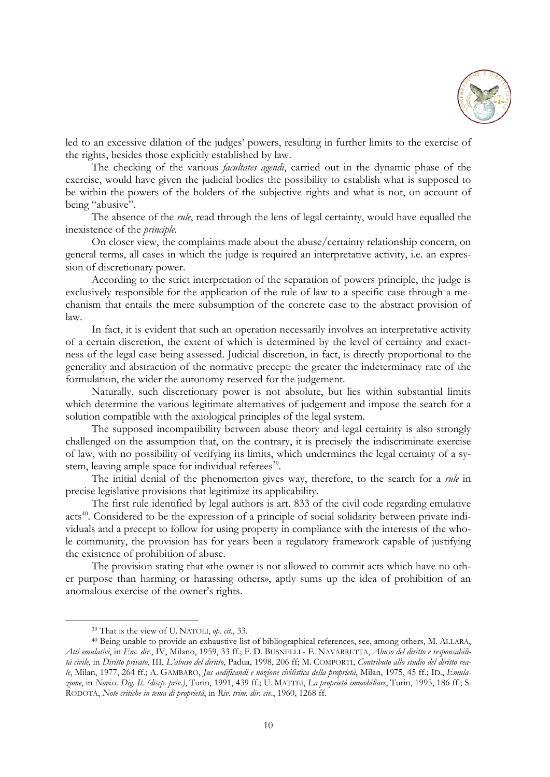

led to an excessive dilation of the judges' powers, resulting in further limits to the exercise of the rights, besides those explicitly established by law.

The checking of the various *facultates agendi*, carried out in the dynamic phase of the exercise, would have given the judicial bodies the possibility to establish what is supposed to be within the powers of the holders of the subjective rights and what is not, on account of being "abusive".

The absence of the *rule*, read through the lens of legal certainty, would have equalled the inexistence of the *principle*.

On closer view, the complaints made about the abuse/certainty relationship concern, on general terms, all cases in which the judge is required an interpretative activity, i.e. an expression of discretionary power.

According to the strict interpretation of the separation of powers principle, the judge is exclusively responsible for the application of the rule of law to a specific case through a mechanism that entails the mere subsumption of the concrete case to the abstract provision of law.

In fact, it is evident that such an operation necessarily involves an interpretative activity of a certain discretion, the extent of which is determined by the level of certainty and exactness of the legal case being assessed. Judicial discretion, in fact, is directly proportional to the generality and abstraction of the normative precept: the greater the indeterminacy rate of the formulation, the wider the autonomy reserved for the judgement.

Naturally, such discretionary power is not absolute, but lies within substantial limits which determine the various legitimate alternatives of judgement and impose the search for a solution compatible with the axiological principles of the legal system.

The supposed incompatibility between abuse theory and legal certainty is also strongly challenged on the assumption that, on the contrary, it is precisely the indiscriminate exercise of law, with no possibility of verifying its limits, which undermines the legal certainty of a system, leaving ample space for individual referees<sup>39</sup>.

The initial denial of the phenomenon gives way, therefore, to the search for a *rule* in precise legislative provisions that legitimize its applicability.

The first rule identified by legal authors is art. 833 of the civil code regarding emulative acts<sup>40</sup>. Considered to be the expression of a principle of social solidarity between private individuals and a precept to follow for using property in compliance with the interests of the whole community, the provision has for years been a regulatory framework capable of justifying the existence of prohibition of abuse.

The provision stating that «the owner is not allowed to commit acts which have no other purpose than harming or harassing others», aptly sums up the idea of prohibition of an anomalous exercise of the owner's rights.

<sup>&</sup>lt;sup>39</sup> That is the view of U. NATOLI, *op. cit.*, 33. 40 Being unable to provide an exhaustive list of bibliographical references, see, among others, M. ALLARA, *Atti emulativi*, in *Enc. dir*., IV, Milano, 1959, 33 ff.; F. D. BUSNELLI - E. NAVARRETTA, *Abuso del diritto e responsabilità civile*, in *Diritto privato*, III, *L'abuso del diritto*, Padua, 1998, 206 ff; M. COMPORTI, *Contributo allo studio del diritto reale*, Milan, 1977, 264 ff.; A. GAMBARO, *Jus aedificandi e nozione civilistica della proprietà*, Milan, 1975, 45 ff.; ID., *Emulazione*, in *Noviss. Dig. It. (discp. priv.)*, Turin, 1991, 439 ff.; U. MATTEI, *La proprietà immobiliare*, Turin, 1995, 186 ff.; S. RODOTÀ, *Note critiche in tema di proprietà*, in *Riv. trim. dir. civ*., 1960, 1268 ff.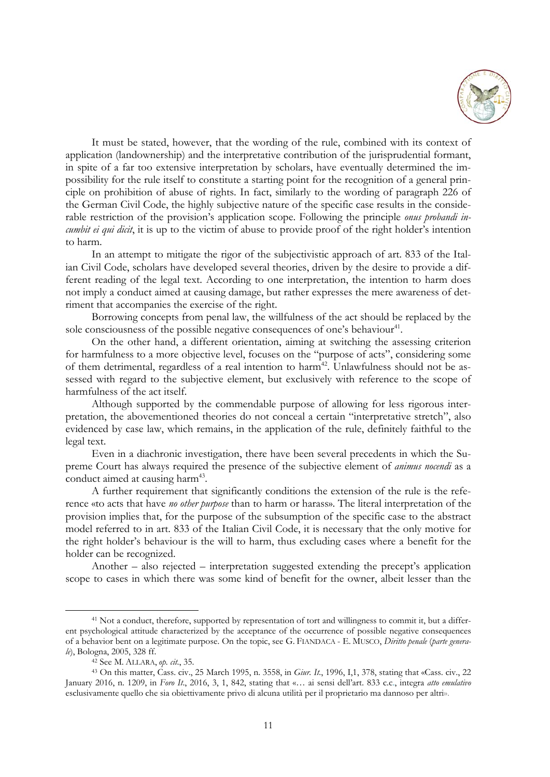

It must be stated, however, that the wording of the rule, combined with its context of application (landownership) and the interpretative contribution of the jurisprudential formant, in spite of a far too extensive interpretation by scholars, have eventually determined the impossibility for the rule itself to constitute a starting point for the recognition of a general principle on prohibition of abuse of rights. In fact, similarly to the wording of paragraph 226 of the German Civil Code, the highly subjective nature of the specific case results in the considerable restriction of the provision's application scope. Following the principle *onus probandi incumbit ei qui dicit*, it is up to the victim of abuse to provide proof of the right holder's intention to harm.

In an attempt to mitigate the rigor of the subjectivistic approach of art. 833 of the Italian Civil Code, scholars have developed several theories, driven by the desire to provide a different reading of the legal text. According to one interpretation, the intention to harm does not imply a conduct aimed at causing damage, but rather expresses the mere awareness of detriment that accompanies the exercise of the right.

Borrowing concepts from penal law, the willfulness of the act should be replaced by the sole consciousness of the possible negative consequences of one's behaviour<sup>41</sup>.

On the other hand, a different orientation, aiming at switching the assessing criterion for harmfulness to a more objective level, focuses on the "purpose of acts", considering some of them detrimental, regardless of a real intention to harm<sup>42</sup>. Unlawfulness should not be assessed with regard to the subjective element, but exclusively with reference to the scope of harmfulness of the act itself.

Although supported by the commendable purpose of allowing for less rigorous interpretation, the abovementioned theories do not conceal a certain "interpretative stretch", also evidenced by case law, which remains, in the application of the rule, definitely faithful to the legal text.

Even in a diachronic investigation, there have been several precedents in which the Supreme Court has always required the presence of the subjective element of *animus nocendi* as a conduct aimed at causing harm<sup>43</sup>.

A further requirement that significantly conditions the extension of the rule is the reference «to acts that have *no other purpose* than to harm or harass». The literal interpretation of the provision implies that, for the purpose of the subsumption of the specific case to the abstract model referred to in art. 833 of the Italian Civil Code, it is necessary that the only motive for the right holder's behaviour is the will to harm, thus excluding cases where a benefit for the holder can be recognized.

Another – also rejected – interpretation suggested extending the precept's application scope to cases in which there was some kind of benefit for the owner, albeit lesser than the

<sup>&</sup>lt;sup>41</sup> Not a conduct, therefore, supported by representation of tort and willingness to commit it, but a different psychological attitude characterized by the acceptance of the occurrence of possible negative consequences of a behavior bent on a legitimate purpose. On the topic, see G. FIANDACA - E. MUSCO, *Diritto penale* (*parte generale*), Bologna, 2005, 328 ff. 42 See M. ALLARA, *op. cit*., 35. 43 On this matter, Cass. civ., 25 March 1995, n. 3558, in *Giur. It*., 1996, I,1, 378, stating that «Cass. civ., 22

January 2016, n. 1209, in *Foro It*., 2016, 3, 1, 842, stating that «… ai sensi dell'art. 833 c.c., integra *atto emulativo* esclusivamente quello che sia obiettivamente privo di alcuna utilità per il proprietario ma dannoso per altri».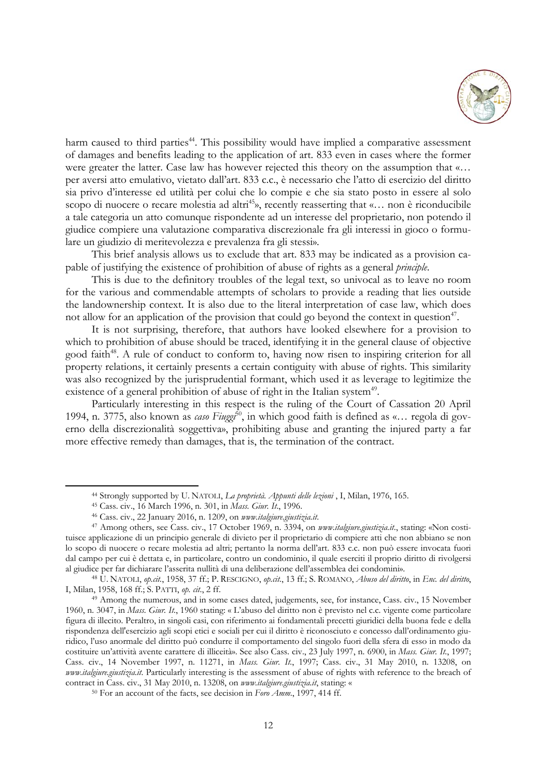

harm caused to third parties<sup>44</sup>. This possibility would have implied a comparative assessment of damages and benefits leading to the application of art. 833 even in cases where the former were greater the latter. Case law has however rejected this theory on the assumption that «… per aversi atto emulativo, vietato dall'art. 833 c.c., è necessario che l'atto di esercizio del diritto sia privo d'interesse ed utilità per colui che lo compie e che sia stato posto in essere al solo scopo di nuocere o recare molestia ad altri<sup>45</sup>», recently reasserting that «... non è riconducibile a tale categoria un atto comunque rispondente ad un interesse del proprietario, non potendo il giudice compiere una valutazione comparativa discrezionale fra gli interessi in gioco o formulare un giudizio di meritevolezza e prevalenza fra gli stessi».

This brief analysis allows us to exclude that art. 833 may be indicated as a provision capable of justifying the existence of prohibition of abuse of rights as a general *principle*.

This is due to the definitory troubles of the legal text, so univocal as to leave no room for the various and commendable attempts of scholars to provide a reading that lies outside the landownership context. It is also due to the literal interpretation of case law, which does not allow for an application of the provision that could go beyond the context in question<sup>47</sup>.

It is not surprising, therefore, that authors have looked elsewhere for a provision to which to prohibition of abuse should be traced, identifying it in the general clause of objective good faith<sup>48</sup>. A rule of conduct to conform to, having now risen to inspiring criterion for all property relations, it certainly presents a certain contiguity with abuse of rights. This similarity was also recognized by the jurisprudential formant, which used it as leverage to legitimize the existence of a general prohibition of abuse of right in the Italian system<sup>49</sup>.

Particularly interesting in this respect is the ruling of the Court of Cassation 20 April 1994, n. 3775, also known as *caso Fiuggi*<sup>50</sup>, in which good faith is defined as «... regola di governo della discrezionalità soggettiva», prohibiting abuse and granting the injured party a far more effective remedy than damages, that is, the termination of the contract.

<sup>&</sup>lt;sup>44</sup> Strongly supported by U. NATOLI, *La proprietà. Appunti delle lezioni*, I, Milan, 1976, 165.<br><sup>45</sup> Cass. civ., 16 March 1996, n. 301, in *Mass. Giur. It.*, 1996.<br><sup>46</sup> Cass. civ., 22 January 2016, n. 1209, on *www.italg* tuisce applicazione di un principio generale di divieto per il proprietario di compiere atti che non abbiano se non lo scopo di nuocere o recare molestia ad altri; pertanto la norma dell'art. 833 c.c. non può essere invocata fuori dal campo per cui è dettata e, in particolare, contro un condominio, il quale eserciti il proprio diritto di rivolgersi

al giudice per far dichiarare l'asserita nullità di una deliberazione dell'assemblea dei condomini».<br><sup>48</sup> U. NATOLI, *op.cit.*, 1958, 37 ff.; P. RESCIGNO, *op.cit.*, 13 ff.; S. ROMANO, *Abuso del diritto*, in *Enc. del dir* 

<sup>&</sup>lt;sup>49</sup> Among the numerous, and in some cases dated, judgements, see, for instance, Cass. civ., 15 November 1960, n. 3047, in *Mass. Giur. It.*, 1960 stating: « L'abuso del diritto non è previsto nel c.c. vigente come particolare figura di illecito. Peraltro, in singoli casi, con riferimento ai fondamentali precetti giuridici della buona fede e della rispondenza dell'esercizio agli scopi etici e sociali per cui il diritto è riconosciuto e concesso dall'ordinamento giuridico, l'uso anormale del diritto può condurre il comportamento del singolo fuori della sfera di esso in modo da costituire un'attività avente carattere di illiceità». See also Cass. civ., 23 July 1997, n. 6900, in *Mass. Giur. It.*, 1997; Cass. civ., 14 November 1997, n. 11271, in *Mass. Giur. It.*, 1997; Cass. civ., 31 May 2010, n. 13208, on *www.italgiure.giustizia.it*. Particularly interesting is the assessment of abuse of rights with reference to the breach of contract in Cass. civ., 31 May 2010, n. 13208, on *www.italgiure.giustizia.it*, stating: « 50 For an account of the facts, see decision in *Foro Amm*., 1997, 414 ff.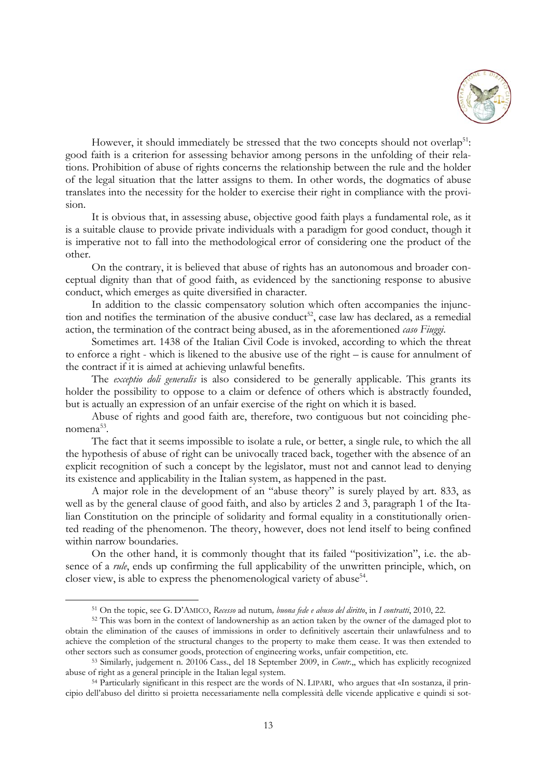

However, it should immediately be stressed that the two concepts should not overlap<sup>51</sup>: good faith is a criterion for assessing behavior among persons in the unfolding of their relations. Prohibition of abuse of rights concerns the relationship between the rule and the holder of the legal situation that the latter assigns to them. In other words, the dogmatics of abuse translates into the necessity for the holder to exercise their right in compliance with the provision.

It is obvious that, in assessing abuse, objective good faith plays a fundamental role, as it is a suitable clause to provide private individuals with a paradigm for good conduct, though it is imperative not to fall into the methodological error of considering one the product of the other.

On the contrary, it is believed that abuse of rights has an autonomous and broader conceptual dignity than that of good faith, as evidenced by the sanctioning response to abusive conduct, which emerges as quite diversified in character.

In addition to the classic compensatory solution which often accompanies the injunction and notifies the termination of the abusive conduct<sup>52</sup>, case law has declared, as a remedial action, the termination of the contract being abused, as in the aforementioned *caso Fiuggi*.

Sometimes art. 1438 of the Italian Civil Code is invoked, according to which the threat to enforce a right - which is likened to the abusive use of the right – is cause for annulment of the contract if it is aimed at achieving unlawful benefits.

The *exceptio doli generalis* is also considered to be generally applicable. This grants its holder the possibility to oppose to a claim or defence of others which is abstractly founded, but is actually an expression of an unfair exercise of the right on which it is based.

Abuse of rights and good faith are, therefore, two contiguous but not coinciding phenomena<sup>53</sup>.

The fact that it seems impossible to isolate a rule, or better, a single rule, to which the all the hypothesis of abuse of right can be univocally traced back, together with the absence of an explicit recognition of such a concept by the legislator, must not and cannot lead to denying its existence and applicability in the Italian system, as happened in the past.

A major role in the development of an "abuse theory" is surely played by art. 833, as well as by the general clause of good faith, and also by articles 2 and 3, paragraph 1 of the Italian Constitution on the principle of solidarity and formal equality in a constitutionally oriented reading of the phenomenon. The theory, however, does not lend itself to being confined within narrow boundaries.

On the other hand, it is commonly thought that its failed "positivization", i.e. the absence of a *rule*, ends up confirming the full applicability of the unwritten principle, which, on closer view, is able to express the phenomenological variety of abuse<sup>54</sup>.

<sup>&</sup>lt;sup>51</sup> On the topic, see G. D'AMICO, Recesso ad nutum, *buona fede e abuso del diritto*, in *I contratti*, 2010, 22.<br><sup>52</sup> This was born in the context of landownership as an action taken by the owner of the damaged plot to obtain the elimination of the causes of immissions in order to definitively ascertain their unlawfulness and to achieve the completion of the structural changes to the property to make them cease. It was then extended to other sectors such as consumer goods, protection of engineering works, unfair competition, etc. 53 Similarly, judgement n. 20106 Cass., del 18 September 2009, in *Contr*.,, which has explicitly recognized

abuse of right as a general principle in the Italian legal system.<br><sup>54</sup> Particularly significant in this respect are the words of N. LIPARI, who argues that «In sostanza, il prin-

cipio dell'abuso del diritto si proietta necessariamente nella complessità delle vicende applicative e quindi si sot-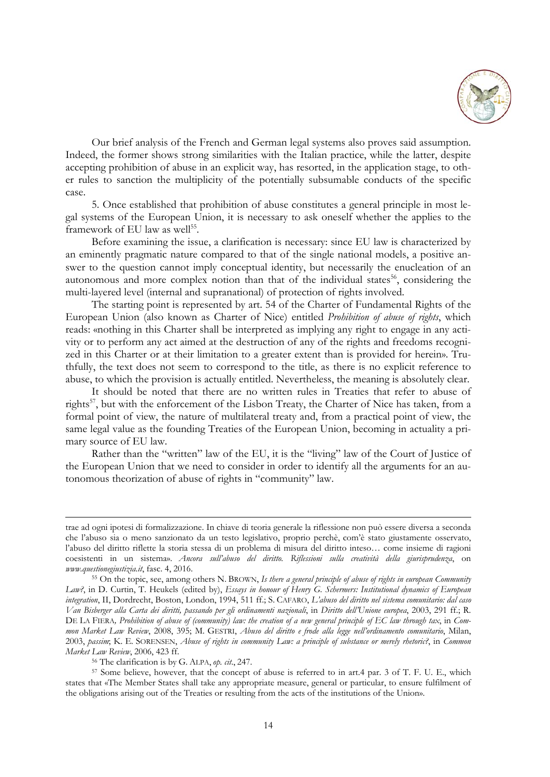

Our brief analysis of the French and German legal systems also proves said assumption. Indeed, the former shows strong similarities with the Italian practice, while the latter, despite accepting prohibition of abuse in an explicit way, has resorted, in the application stage, to other rules to sanction the multiplicity of the potentially subsumable conducts of the specific case.

5. Once established that prohibition of abuse constitutes a general principle in most legal systems of the European Union, it is necessary to ask oneself whether the applies to the framework of EU law as well<sup>55</sup>.

Before examining the issue, a clarification is necessary: since EU law is characterized by an eminently pragmatic nature compared to that of the single national models, a positive answer to the question cannot imply conceptual identity, but necessarily the enucleation of an autonomous and more complex notion than that of the individual states $56$ , considering the multi-layered level (internal and supranational) of protection of rights involved.

The starting point is represented by art. 54 of the Charter of Fundamental Rights of the European Union (also known as Charter of Nice) entitled *Prohibition of abuse of rights*, which reads: «nothing in this Charter shall be interpreted as implying any right to engage in any activity or to perform any act aimed at the destruction of any of the rights and freedoms recognized in this Charter or at their limitation to a greater extent than is provided for herein». Truthfully, the text does not seem to correspond to the title, as there is no explicit reference to abuse, to which the provision is actually entitled. Nevertheless, the meaning is absolutely clear.

It should be noted that there are no written rules in Treaties that refer to abuse of rights<sup>57</sup>, but with the enforcement of the Lisbon Treaty, the Charter of Nice has taken, from a formal point of view, the nature of multilateral treaty and, from a practical point of view, the same legal value as the founding Treaties of the European Union, becoming in actuality a primary source of EU law.

Rather than the "written" law of the EU, it is the "living" law of the Court of Justice of the European Union that we need to consider in order to identify all the arguments for an autonomous theorization of abuse of rights in "community" law.

trae ad ogni ipotesi di formalizzazione. In chiave di teoria generale la riflessione non può essere diversa a seconda che l'abuso sia o meno sanzionato da un testo legislativo, proprio perchè, com'è stato giustamente osservato, l'abuso del diritto riflette la storia stessa di un problema di misura del diritto inteso… come insieme di ragioni coesistenti in un sistema». *Ancora sull'abuso del diritto. Riflessioni sulla creatività della giurisprudenza*, on *www.questionegiustizia.it*, fasc. 4, 2016. 55 On the topic, see, among others N. BROWN, *Is there a general principle of abuse of rights in european Community* 

*Law?*, in D. Curtin, T. Heukels (edited by), *Essays in honour of Henry G. Schermers: Institutional dynamics of European integration*, II, Dordrecht, Boston, London, 1994, 511 ff.; S. CAFARO, *L'abuso del diritto nel sistema comunitario: dal caso Van Bisberger alla Carta dei diritti, passando per gli ordinamenti nazionali*, in *Diritto dell'Unione europea*, 2003, 291 ff.; R. DE LA FIERA*, Prohibition of abuse of (community) law: the creation of a new general principle of EC law through tax*, in *Common Market Law Review*, 2008, 395; M. GESTRI, *Abuso del diritto e frode alla legge nell'ordinamento comunitario*, Milan, 2003, *passim*; K. E. SORENSEN, *Abuse of rights in community Law: a principle of substance or merely rhetoric?*, in *Common Market Law Review*, 2006, 423 ff.<br><sup>56</sup> The clarification is by G. ALPA, *op. cit.*, 247.<br><sup>57</sup> Some believe, however, that the concept of abuse is referred to in art.4 par. 3 of T. F. U. E., which

states that «The Member States shall take any appropriate measure, general or particular, to ensure fulfilment of the obligations arising out of the Treaties or resulting from the acts of the institutions of the Union».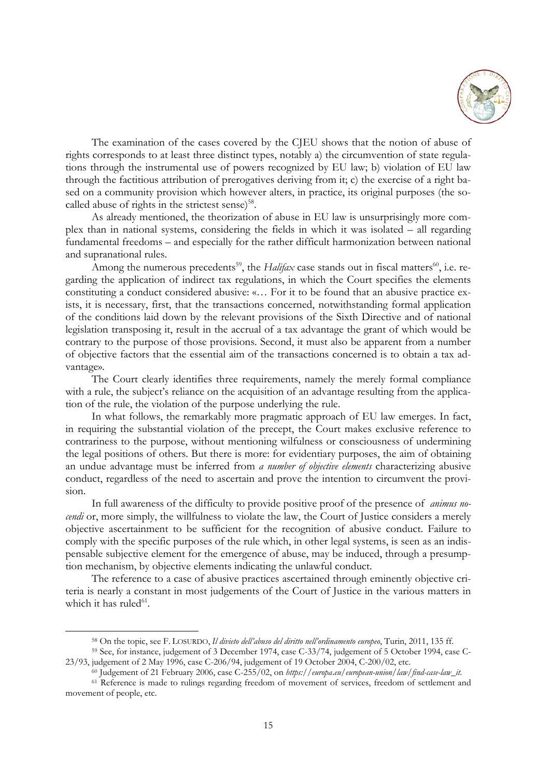

The examination of the cases covered by the CJEU shows that the notion of abuse of rights corresponds to at least three distinct types, notably a) the circumvention of state regulations through the instrumental use of powers recognized by EU law; b) violation of EU law through the factitious attribution of prerogatives deriving from it; c) the exercise of a right based on a community provision which however alters, in practice, its original purposes (the socalled abuse of rights in the strictest sense) $58$ .

As already mentioned, the theorization of abuse in EU law is unsurprisingly more complex than in national systems, considering the fields in which it was isolated – all regarding fundamental freedoms – and especially for the rather difficult harmonization between national and supranational rules.

Among the numerous precedents<sup>59</sup>, the *Halifax* case stands out in fiscal matters<sup>60</sup>, i.e. regarding the application of indirect tax regulations, in which the Court specifies the elements constituting a conduct considered abusive: «… For it to be found that an abusive practice exists, it is necessary, first, that the transactions concerned, notwithstanding formal application of the conditions laid down by the relevant provisions of the Sixth Directive and of national legislation transposing it, result in the accrual of a tax advantage the grant of which would be contrary to the purpose of those provisions. Second, it must also be apparent from a number of objective factors that the essential aim of the transactions concerned is to obtain a tax advantage».

The Court clearly identifies three requirements, namely the merely formal compliance with a rule, the subject's reliance on the acquisition of an advantage resulting from the application of the rule, the violation of the purpose underlying the rule.

In what follows, the remarkably more pragmatic approach of EU law emerges. In fact, in requiring the substantial violation of the precept, the Court makes exclusive reference to contrariness to the purpose, without mentioning wilfulness or consciousness of undermining the legal positions of others. But there is more: for evidentiary purposes, the aim of obtaining an undue advantage must be inferred from *a number of objective elements* characterizing abusive conduct, regardless of the need to ascertain and prove the intention to circumvent the provision.

In full awareness of the difficulty to provide positive proof of the presence of *animus nocendi* or, more simply, the willfulness to violate the law, the Court of Justice considers a merely objective ascertainment to be sufficient for the recognition of abusive conduct. Failure to comply with the specific purposes of the rule which, in other legal systems, is seen as an indispensable subjective element for the emergence of abuse, may be induced, through a presumption mechanism, by objective elements indicating the unlawful conduct.

The reference to a case of abusive practices ascertained through eminently objective criteria is nearly a constant in most judgements of the Court of Justice in the various matters in which it has ruled $61$ .

<sup>&</sup>lt;sup>58</sup> On the topic, see F. LOSURDO, *Il divieto dell'abuso del diritto nell'ordinamento europeo*, Turin, 2011, 135 ff.<br><sup>59</sup> See, for instance, judgement of 3 December 1974, case C-33/74, judgement of 5 October 1994, case C-

<sup>&</sup>lt;sup>60</sup> Judgement of 21 February 2006, case C-255/02, on *https://europa.eu/european-union/law/find-case-law\_it.* <sup>61</sup> Reference is made to rulings regarding freedom of movement of services, freedom of settlement and movement of people, etc.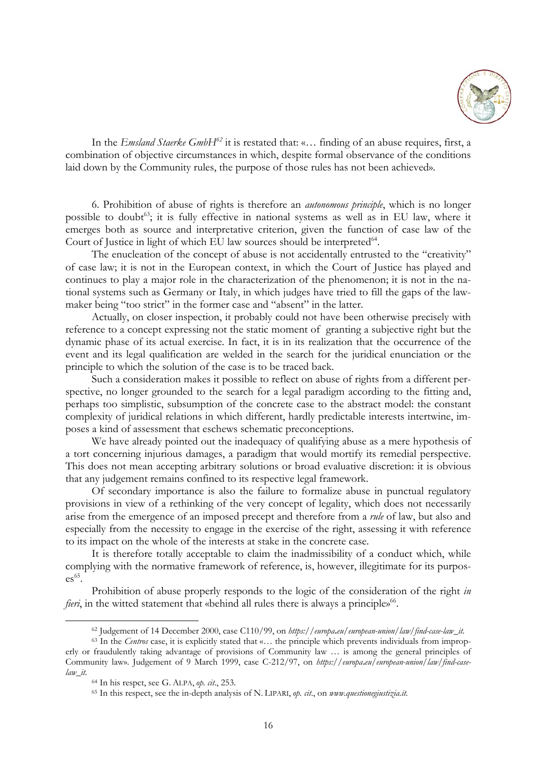

In the *Emsland Staerke GmbH<sup>62</sup>* it is restated that: «... finding of an abuse requires, first, a combination of objective circumstances in which, despite formal observance of the conditions laid down by the Community rules, the purpose of those rules has not been achieved».

6. Prohibition of abuse of rights is therefore an *autonomous principle*, which is no longer possible to doubt<sup>63</sup>; it is fully effective in national systems as well as in EU law, where it emerges both as source and interpretative criterion, given the function of case law of the Court of Justice in light of which EU law sources should be interpreted<sup>64</sup>.

The enucleation of the concept of abuse is not accidentally entrusted to the "creativity" of case law; it is not in the European context, in which the Court of Justice has played and continues to play a major role in the characterization of the phenomenon; it is not in the national systems such as Germany or Italy, in which judges have tried to fill the gaps of the lawmaker being "too strict" in the former case and "absent" in the latter.

Actually, on closer inspection, it probably could not have been otherwise precisely with reference to a concept expressing not the static moment of granting a subjective right but the dynamic phase of its actual exercise. In fact, it is in its realization that the occurrence of the event and its legal qualification are welded in the search for the juridical enunciation or the principle to which the solution of the case is to be traced back.

Such a consideration makes it possible to reflect on abuse of rights from a different perspective, no longer grounded to the search for a legal paradigm according to the fitting and, perhaps too simplistic, subsumption of the concrete case to the abstract model: the constant complexity of juridical relations in which different, hardly predictable interests intertwine, imposes a kind of assessment that eschews schematic preconceptions.

We have already pointed out the inadequacy of qualifying abuse as a mere hypothesis of a tort concerning injurious damages, a paradigm that would mortify its remedial perspective. This does not mean accepting arbitrary solutions or broad evaluative discretion: it is obvious that any judgement remains confined to its respective legal framework.

Of secondary importance is also the failure to formalize abuse in punctual regulatory provisions in view of a rethinking of the very concept of legality, which does not necessarily arise from the emergence of an imposed precept and therefore from a *rule* of law, but also and especially from the necessity to engage in the exercise of the right, assessing it with reference to its impact on the whole of the interests at stake in the concrete case.

It is therefore totally acceptable to claim the inadmissibility of a conduct which, while complying with the normative framework of reference, is, however, illegitimate for its purpos $es^{65}$ .

Prohibition of abuse properly responds to the logic of the consideration of the right *in fieri*, in the witted statement that «behind all rules there is always a principle»<sup>66</sup>.

<sup>&</sup>lt;sup>62</sup> Judgement of 14 December 2000, case C110/99, on https://europa.eu/european-union/law/find-case-law\_it.<br><sup>63</sup> In the *Centros* case, it is explicitly stated that «... the principle which prevents individuals from impro

erly or fraudulently taking advantage of provisions of Community law … is among the general principles of Community law». Judgement of 9 March 1999, case C-212/97, on *https://europa***.***eu/european-union/law/find-caselaw\_it.*

<sup>64</sup> In his respct, see G. ALPA, *op. cit*., 253. 65 In this respect, see the in-depth analysis of N. LIPARI, *op. cit*., on *www.questionegiustizia.it.*